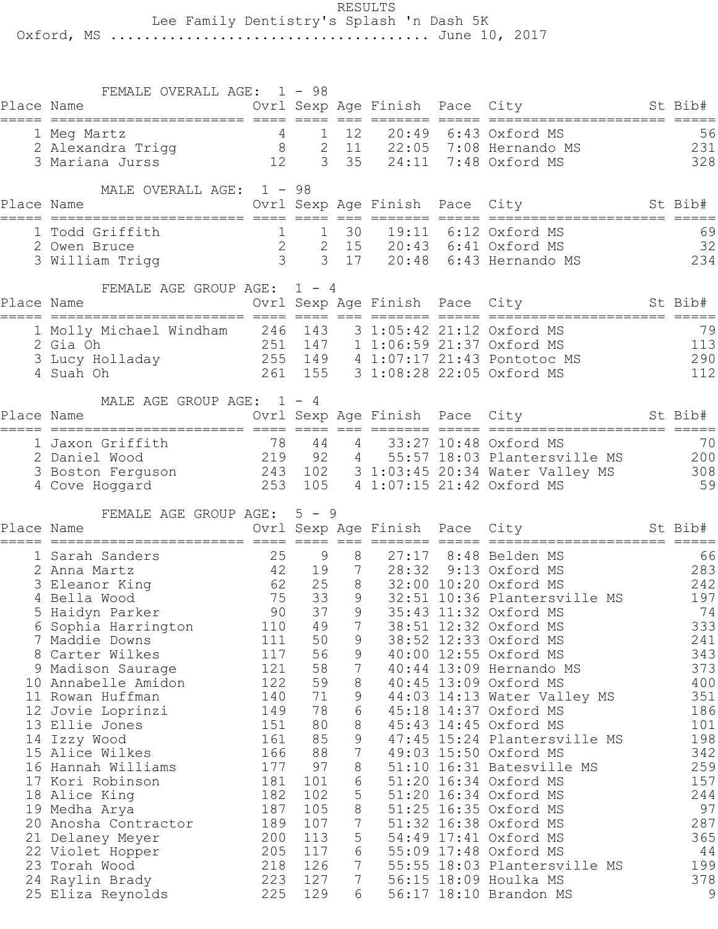RESULTS

Lee Family Dentistry's Splash 'n Dash 5K

Oxford, MS ...................................... June 10, 2017

|            | FEMALE OVERALL AGE: 1 - 98                                                                                        |            |            |                     |                 |                                                                                                                                                     |                                      |
|------------|-------------------------------------------------------------------------------------------------------------------|------------|------------|---------------------|-----------------|-----------------------------------------------------------------------------------------------------------------------------------------------------|--------------------------------------|
| Place Name | Ovrl Sexp Age Finish Pace City                                                                                    |            |            |                     |                 | St Bib#                                                                                                                                             |                                      |
|            |                                                                                                                   |            |            |                     |                 |                                                                                                                                                     | 56                                   |
|            |                                                                                                                   |            |            |                     |                 |                                                                                                                                                     | 231                                  |
|            |                                                                                                                   |            |            |                     |                 |                                                                                                                                                     | 328                                  |
|            | MALE OVERALL AGE: 1 - 98                                                                                          |            |            |                     |                 |                                                                                                                                                     |                                      |
| Place Name |                                                                                                                   |            |            |                     |                 | Ovrl Sexp Age Finish Pace City St Bib#                                                                                                              |                                      |
|            | 1 Todd Griffith                                                                                                   |            |            |                     |                 |                                                                                                                                                     | 69                                   |
|            | 2 Owen Bruce                                                                                                      |            |            |                     |                 |                                                                                                                                                     |                                      |
|            | 3 William Trigg                                                                                                   |            |            |                     |                 | 1 1 30 19:11 6:12 Oxford MS<br>2 2 15 20:43 6:41 Oxford MS<br>3 3 17 20:48 6:43 Hernando M<br>20:43 6:41 Oxford MS 32<br>20:48 6:43 Hernando MS 234 |                                      |
|            |                                                                                                                   |            |            |                     |                 |                                                                                                                                                     |                                      |
| Place Name | FEMALE AGE GROUP AGE: 1 - 4                                                                                       |            |            |                     |                 | Ovrl Sexp Age Finish Pace City St Bib#                                                                                                              |                                      |
|            |                                                                                                                   |            |            |                     |                 |                                                                                                                                                     |                                      |
|            | 1 Molly Michael Windham 246 143 3 1:05:42 21:12 Oxford MS                                                         |            |            |                     |                 |                                                                                                                                                     | 79                                   |
|            | 2 Gia Oh                                                                                                          |            |            |                     |                 | 251 147 1 1:06:59 21:37 Oxford MS                                                                                                                   | 113                                  |
|            |                                                                                                                   |            |            |                     |                 |                                                                                                                                                     | 290                                  |
|            |                                                                                                                   |            |            |                     |                 |                                                                                                                                                     | 112                                  |
|            | MALE AGE GROUP AGE: $1 - 4$                                                                                       |            |            |                     |                 |                                                                                                                                                     |                                      |
| Place Name |                                                                                                                   |            |            |                     |                 | Ovrl Sexp Age Finish Pace City St Bib#                                                                                                              |                                      |
|            | 1 Jaxon Griffith                                                                                                  |            | 44         |                     | $4\overline{ }$ | 33:27 10:48 Oxford MS                                                                                                                               | 70                                   |
|            | 78<br>2 Daniel Wood                                                                                               |            |            |                     |                 | 219 92 4 55:57 18:03 Plantersville MS 200                                                                                                           |                                      |
|            |                                                                                                                   |            |            |                     |                 |                                                                                                                                                     |                                      |
|            |                                                                                                                   |            |            |                     |                 |                                                                                                                                                     |                                      |
|            | 3 Boston Ferguson 243 102 3 1:03:45 20:34 Water Valley MS 308<br>4 Cove Hoggard 253 105 4 1:07:15 21:42 Oxford MS |            |            |                     |                 |                                                                                                                                                     | 59                                   |
|            |                                                                                                                   |            |            |                     |                 |                                                                                                                                                     |                                      |
| Place Name | FEMALE AGE GROUP AGE: 5 - 9                                                                                       |            |            |                     |                 |                                                                                                                                                     |                                      |
|            |                                                                                                                   |            |            |                     |                 | Ovrl Sexp Age Finish Pace City St Bib#                                                                                                              |                                      |
|            | 1 Sarah Sanders                                                                                                   |            | 25 9       | 8                   |                 | 27:17 8:48 Belden MS                                                                                                                                | 66                                   |
|            | 2 Anna Martz                                                                                                      |            |            |                     |                 | $\begin{array}{c} 66 \\ 283 \end{array}$<br>42 19 7 28:32 9:13 Oxford MS                                                                            |                                      |
|            |                                                                                                                   |            |            |                     |                 | 62 25 8 32:00 10:20 Oxford MS                                                                                                                       | 242                                  |
|            |                                                                                                                   |            |            |                     |                 | 32:51 10:36 Plantersville MS                                                                                                                        | 197<br>74                            |
| 6          | Sophia Harrington                                                                                                 | 110        | 49         | $\overline{7}$      |                 |                                                                                                                                                     | 333                                  |
|            | 7 Maddie Downs                                                                                                    | 111        | 50         | 9                   |                 | 38:51 12:32 Oxford MS<br>38:52 12:33 Oxford MS                                                                                                      | 241                                  |
|            | 8 Carter Wilkes                                                                                                   | 117        | 56         | 9                   |                 | 40:00 12:55 Oxford MS                                                                                                                               | 343                                  |
|            | 9 Madison Saurage                                                                                                 | 121        | 58         | $7\phantom{.0}$     |                 | 40:44 13:09 Hernando MS                                                                                                                             | 373                                  |
|            | 10 Annabelle Amidon                                                                                               | 122        | 59         | $8\,$               |                 | 40:45 13:09 Oxford MS                                                                                                                               | 400                                  |
|            | 11 Rowan Huffman                                                                                                  | 140        | 71         | 9                   |                 | 44:03 14:13 Water Valley MS                                                                                                                         | 351                                  |
|            | 12 Jovie Loprinzi                                                                                                 | 149        | 78         | 6                   |                 | 45:18 14:37 Oxford MS                                                                                                                               | 186                                  |
|            | 13 Ellie Jones                                                                                                    | 151        | 80         | 8                   |                 | 45:43 14:45 Oxford MS                                                                                                                               | 101                                  |
|            | 14 Izzy Wood<br>15 Alice Wilkes                                                                                   | 161<br>166 | 85<br>88   | 9<br>$\overline{7}$ |                 | 47:45 15:24 Plantersville MS<br>49:03 15:50 Oxford MS                                                                                               | 198<br>342                           |
|            | 16 Hannah Williams                                                                                                | 177        | 97         | 8                   |                 | 51:10 16:31 Batesville MS                                                                                                                           | 259                                  |
|            | 17 Kori Robinson                                                                                                  | 181        | 101        | 6                   |                 | 51:20 16:34 Oxford MS                                                                                                                               | 157                                  |
|            | 18 Alice King                                                                                                     | 182        | 102        | 5                   |                 | 51:20 16:34 Oxford MS                                                                                                                               |                                      |
|            | 19 Medha Arya                                                                                                     | 187        | 105        | 8                   |                 | 51:25 16:35 Oxford MS                                                                                                                               |                                      |
|            | 20 Anosha Contractor                                                                                              | 189        | 107        | $\overline{7}$      |                 | 51:32 16:38 Oxford MS                                                                                                                               |                                      |
|            | 21 Delaney Meyer                                                                                                  | 200        | 113        | 5                   |                 | 54:49 17:41 Oxford MS                                                                                                                               |                                      |
|            | 22 Violet Hopper                                                                                                  | 205        | 117        | 6                   |                 | 55:09 17:48 Oxford MS                                                                                                                               |                                      |
|            | 23 Torah Wood                                                                                                     | 218        | 126        | $7\phantom{.0}$     |                 | 55:55 18:03 Plantersville MS                                                                                                                        | 244<br>97<br>287<br>365<br>44<br>199 |
|            | 24 Raylin Brady<br>25 Eliza Reynolds                                                                              | 223<br>225 | 127<br>129 | 7<br>6              |                 | 56:15 18:09 Houlka MS<br>56:17 18:10 Brandon MS                                                                                                     | 378<br>9                             |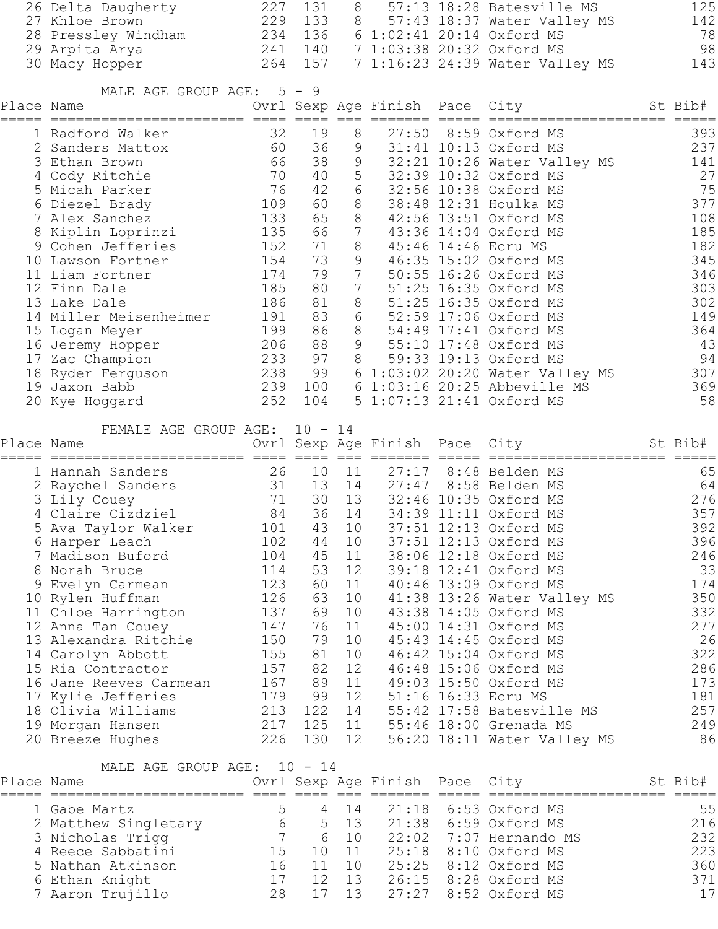|            | 26 Delta Daugherty<br>27 Khloe Brown<br>28 Pressley Windham<br>29 Arpita Arya<br>30 Macy Hopper                                                                                                                                                                                                                                                                                                                                                                                                                                                                                                                                      | 227<br>229 133 8                                                                                                                  | 131                                                                                             | 8                                                                                                             |                                | 57:13 18:28 Batesville MS<br>57:43 18:37 Water Valley MS<br>234 136 6 1:02:41 20:14 Oxford MS<br>241 140 7 1:03:38 20:32 Oxford MS<br>264 157 7 1:16:23 24:39 Water Valley MS                                                                                                                                                                                                                                                                                                                                                                        | 125<br>142<br>78<br>98<br>143                                                                                                       |
|------------|--------------------------------------------------------------------------------------------------------------------------------------------------------------------------------------------------------------------------------------------------------------------------------------------------------------------------------------------------------------------------------------------------------------------------------------------------------------------------------------------------------------------------------------------------------------------------------------------------------------------------------------|-----------------------------------------------------------------------------------------------------------------------------------|-------------------------------------------------------------------------------------------------|---------------------------------------------------------------------------------------------------------------|--------------------------------|------------------------------------------------------------------------------------------------------------------------------------------------------------------------------------------------------------------------------------------------------------------------------------------------------------------------------------------------------------------------------------------------------------------------------------------------------------------------------------------------------------------------------------------------------|-------------------------------------------------------------------------------------------------------------------------------------|
|            | MALE AGE GROUP AGE: 5 - 9<br>Place Name and the state of the state of the state of the state of the state of the state of the state of the                                                                                                                                                                                                                                                                                                                                                                                                                                                                                           |                                                                                                                                   |                                                                                                 |                                                                                                               |                                | Ovrl Sexp Age Finish Pace City St Bib#                                                                                                                                                                                                                                                                                                                                                                                                                                                                                                               |                                                                                                                                     |
|            | 1 Radford Walker<br>2 Sanders Mattox<br>3 Ethan Brown<br>4 Cody Ritchie<br>5 Micah Parker<br>6 Diezel Brady<br>7 Alex Sanchez<br>8 Kiplin Loprinzi<br>9 Cohen Jefferies<br>10 Lawson Fortner<br>11 Liam Fortner<br>12 Finn Dale<br>13 Lake Dale<br>14 Miller Meisenheimer<br>15 Logan Meyer<br>16 Jeremy Hopper<br>17 Zac Champion<br>18 Ryder Ferguson<br>19 Jaxon Babb<br>20 Kye Hoggard                                                                                                                                                                                                                                           | 32<br>60<br>66<br>70<br>76<br>109<br>133<br>135<br>152<br>154<br>174<br>185<br>186<br>191<br>199<br>206<br>233 97 8<br>239<br>252 | 19<br>36<br>38<br>42<br>60 —<br>65<br>66<br>71<br>73<br>79<br>80<br>81<br>83<br>86<br>88<br>104 | 8<br>9<br>40 5<br>6<br>8<br>8<br>$\overline{7}$<br>8<br>9<br>$7\phantom{.0}$<br>$7\phantom{.}$<br>8<br>6<br>8 | 9<br>9                         | 31:41 10:13 Oxford MS<br>32:21 10:26 Water You<br>32:21 10:26 Water Valley MS<br>32:39 10:32 Oxford MS<br>32:56 10:38 Oxford MS<br>38:48 12:31 Houlka MS<br>42:56 13:51 Oxford MS<br>43:36 14:04 Oxford MS<br>45:46 14:46 Ecru MS<br>46:35 15:02 Oxford MS<br>50:55 16:26 Oxford MS<br>51:25 16:35 Oxford MS<br>51:25 16:35 Oxford MS<br>52:59 17:06 Oxford MS<br>54:49 17:41 Oxford MS<br>55:10 17:48 Oxford MS<br>59:33 19:13 Oxford MS<br>238 99 6 1:03:02 20:20 Water Valley MS<br>100 6 1:03:16 20:25 Abbeville MS<br>5 1:07:13 21:41 Oxford MS | 393<br>237<br>141<br>27<br>75<br>377<br>108<br>185<br>182<br>345<br>346<br>303<br>302<br>149<br>364<br>43<br>94<br>307<br>369<br>58 |
| Place Name | FEMALE AGE GROUP AGE: 10 - 14                                                                                                                                                                                                                                                                                                                                                                                                                                                                                                                                                                                                        |                                                                                                                                   |                                                                                                 |                                                                                                               |                                | Ovrl Sexp Age Finish Pace City                                                                                                                                                                                                                                                                                                                                                                                                                                                                                                                       | St Bib#                                                                                                                             |
|            | 1 Hannah Sanders<br>2 Raychel Sanders<br>2 Raychel Sanders<br>3 Lily Couey<br>4 Claire Cizdziel<br>4 Claire Cizdziel<br>2 Raychel Sanders<br>3 10 11 27:17 8:48 Belden MS<br>3 13 14 27:47 8:58 Belden MS<br>3 32:46 10:35 Oxford MS<br>4 Claire C<br>5 Ava Taylor Walker 101 43 10 37:51 12:13 Oxford MS<br>6 Harper Leach<br>7 Madison Buford<br>8 Norah Bruce<br>9 Evelyn Carmean<br>10 Rylen Huffman<br>11 Chloe Harrington<br>12 Anna Tan Couey<br>13 Alexandra Ritchie<br>14 Carolyn Abbott<br>15 Ria Contractor<br>16 Jane Reeves Carmean<br>17 Kylie Jefferies<br>18 Olivia Williams<br>19 Morgan Hansen<br>20 Breeze Hughes | 102<br>104<br>114<br>123<br>126<br>137<br>147<br>150<br>155<br>157<br>167<br>179<br>213<br>217<br>226                             | 44<br>45<br>53<br>60<br>63<br>69<br>76<br>79<br>81<br>82<br>89<br>99<br>122 14                  | 10<br>11<br>12<br>11<br>10<br>10<br>11<br>10<br>10<br>12<br>11<br>12<br>130 12                                |                                | 37:51 12:13 Oxford MS<br>38:06 12:18 Oxford MS<br>39:18 12:41 Oxford MS<br>40:46 13:09 Oxford MS<br>41:38 13:26 Water Valley MS<br>43:38 14:05 Oxford MS<br>45:00 14:31 Oxford MS<br>45:43 14:45 Oxford MS<br>46:42 15:04 Oxford MS<br>46:48 15:06 Oxford MS<br>49:03 15:50 Oxford MS<br>51:16 16:33 Ecru MS<br>55:42 17:58 Batesville MS<br>125 11 55:46 18:00 Grenada MS<br>56:20 18:11 Water Valley MS                                                                                                                                            | 65<br>64<br>276<br>357<br>392<br>396<br>246<br>33<br>174<br>350<br>332<br>277<br>26<br>322<br>286<br>173<br>181<br>257<br>249<br>86 |
| Place Name | MALE AGE GROUP AGE: 10 - 14                                                                                                                                                                                                                                                                                                                                                                                                                                                                                                                                                                                                          |                                                                                                                                   |                                                                                                 |                                                                                                               | Ovrl Sexp Age Finish Pace City |                                                                                                                                                                                                                                                                                                                                                                                                                                                                                                                                                      | St Bib#                                                                                                                             |
|            | 1 Gabe Martz<br>2 Matthew Singletary<br>3 Nicholas Trigg<br>4 Reece Sabbatini<br>5 Nathan Atkinson<br>6 Ethan Knight<br>7 Aaron Trujillo                                                                                                                                                                                                                                                                                                                                                                                                                                                                                             | $5\phantom{.0}$<br>$6\overline{6}$<br>$7\overline{ }$<br>15<br>16<br>17<br>28                                                     | $\overline{4}$<br>$\overline{5}$<br>$6\overline{6}$<br>10<br>11<br>12<br>17                     | 14<br>13<br>10<br>11<br>10<br>13<br>13                                                                        | 27:27                          | 21:18 6:53 Oxford MS<br>21:38 6:59 Oxford MS<br>22:02 7:07 Hernando MS<br>25:18 8:10 Oxford MS<br>25:25 8:12 Oxford MS<br>26:15 8:28 Oxford MS<br>8:52 Oxford MS                                                                                                                                                                                                                                                                                                                                                                                     | 55<br>216<br>232<br>223<br>360<br>371<br>17                                                                                         |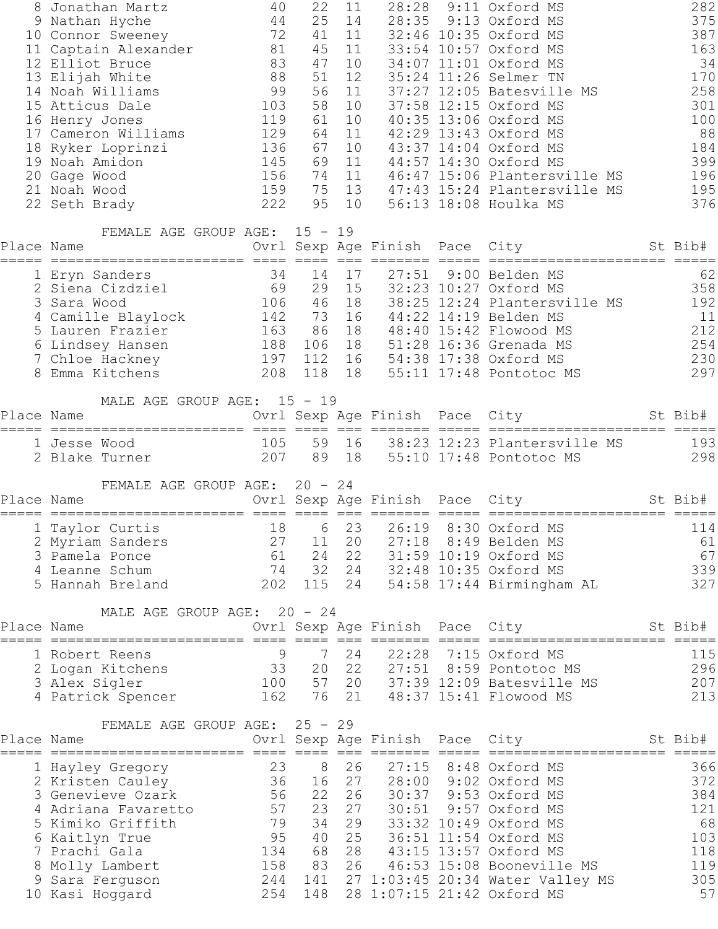|            | 8 Jonathan Martz                                 | 40       | 22              | 11       |                                | 28:28 9:11 Oxford MS                           | 282       |
|------------|--------------------------------------------------|----------|-----------------|----------|--------------------------------|------------------------------------------------|-----------|
|            | 9 Nathan Hyche                                   | 44       | 25              | 14       |                                | 28:35 9:13 Oxford MS                           | 375       |
|            | 10 Connor Sweeney                                | 72       | 41              | 11       |                                | 32:46 10:35 Oxford MS                          | 387       |
|            | 11 Captain Alexander 81                          |          | 45              | 11       |                                | 33:54 10:57 Oxford MS                          | 163       |
|            | 12 Elliot Bruce                                  | 83<br>88 | 47<br>51        | 10<br>12 |                                | 34:07 11:01 Oxford MS<br>35:24 11:26 Selmer TN | 34<br>170 |
|            | 13 Elijah White<br>14 Noah Williams              | 99       | 56              | 11       |                                | 37:27 12:05 Batesville MS                      | 258       |
|            | 15 Atticus Dale                                  | 103      | 58              | 10       |                                | 37:58 12:15 Oxford MS                          | 301       |
|            | 16 Henry Jones                                   | 119      | 61              | 10       |                                | 40:35 13:06 Oxford MS                          | 100       |
|            | 17 Cameron Williams                              | 129      | 64              | 11       |                                | 42:29 13:43 Oxford MS                          | 88        |
|            | 18 Ryker Loprinzi                                | 136      | 67              | 10       |                                | 43:37 14:04 Oxford MS                          | 184       |
|            | 19 Noah Amidon                                   | 145      | 69              | 11       |                                | 44:57 14:30 Oxford MS                          | 399       |
|            | 20 Gage Wood                                     | 156      | 74              | 11       |                                | 46:47 15:06 Plantersville MS                   | 196       |
|            | 21 Noah Wood                                     | 159      |                 | 75 13    |                                | 47:43 15:24 Plantersville MS                   | 195       |
|            | 22 Seth Brady                                    | 222      | 95              | 10       |                                | 56:13 18:08 Houlka MS                          | 376       |
|            |                                                  |          |                 |          |                                |                                                |           |
| Place Name | FEMALE AGE GROUP AGE: 15 - 19                    |          |                 |          |                                | Ovrl Sexp Age Finish Pace City St Bib#         |           |
|            |                                                  |          |                 |          |                                |                                                |           |
|            | 1 Eryn Sanders                                   | 34       | 14              | 17       | 27:51                          | 9:00 Belden MS                                 | 62        |
|            | 2 Siena Cizdziel                                 | 69       | 29              | 15       |                                | 32:23 10:27 Oxford MS                          | 358       |
|            | 3 Sara Wood                                      | 106 46   |                 | 18       |                                | 38:25 12:24 Plantersville MS                   | 192       |
|            | 4 Camille Blaylock 142 73 16                     |          |                 |          |                                | 44:22 14:19 Belden MS                          | 11        |
|            | 163 86 18<br>5 Lauren Frazier                    |          |                 |          |                                | 48:40 15:42 Flowood MS                         | 212       |
|            | 6 Lindsey Hansen 188 106 18                      |          |                 |          |                                | 51:28 16:36 Grenada MS                         | 254       |
|            | 7 Chloe Hackney 197 112 16 54:38 17:38 Oxford MS |          |                 |          |                                |                                                | 230       |
|            | 8 Emma Kitchens                                  | 208      |                 | 118 18   |                                | 55:11 17:48 Pontotoc MS                        | 297       |
|            | MALE AGE GROUP AGE: 15 - 19                      |          |                 |          |                                |                                                |           |
| Place Name |                                                  |          |                 |          |                                | Ovrl Sexp Age Finish Pace City St Bib#         |           |
|            | 1 Jesse Wood                                     | 105      |                 | 59 16    |                                | 38:23 12:23 Plantersville MS                   | 193       |
|            | 2 Blake Turner                                   |          | 207 89 18       |          |                                | 55:10 17:48 Pontotoc MS                        | 298       |
|            |                                                  |          |                 |          |                                |                                                |           |
| Place Name | FEMALE AGE GROUP AGE: 20 - 24                    |          |                 |          |                                | Ovrl Sexp Age Finish Pace City St Bib#         |           |
|            |                                                  |          |                 |          |                                |                                                |           |
|            | 1 Taylor Curtis                                  |          |                 |          |                                | 18 6 23 26:19 8:30 Oxford MS                   | $114$     |
|            | 2 Myriam Sanders                                 | 27       | 11              | 20       | 27:18                          | 8:49 Belden MS                                 | 61        |
|            | 3 Pamela Ponce                                   | 61       | 24              | 22       |                                | 31:59 10:19 Oxford MS                          | 67        |
|            | 4 Leanne Schum                                   | 74       | 32              | 24       |                                | 32:48 10:35 Oxford MS                          | 339       |
|            | 5 Hannah Breland                                 | 202      | 115             | 24       |                                | 54:58 17:44 Birmingham AL                      | 327       |
|            | MALE AGE GROUP AGE: 20 - 24                      |          |                 |          |                                |                                                |           |
| Place Name |                                                  |          |                 |          | Ovrl Sexp Age Finish Pace City |                                                | St Bib#   |
|            |                                                  |          |                 |          |                                |                                                |           |
|            | 1 Robert Reens                                   | 9        | $7\phantom{.0}$ | 24       | 22:28                          | 7:15 Oxford MS                                 | 115       |
|            | 2 Logan Kitchens                                 | 33       |                 | 20  22   |                                | 27:51 8:59 Pontotoc MS                         | 296       |
|            | 3 Alex Sigler                                    | 100      |                 |          |                                | 57 20 37:39 12:09 Batesville MS                | 207       |
|            | 4 Patrick Spencer                                | 162      |                 | 76 21    |                                | 48:37 15:41 Flowood MS                         | 213       |
|            | FEMALE AGE GROUP AGE: 25 - 29                    |          |                 |          |                                |                                                |           |
| Place Name |                                                  |          |                 |          | Ovrl Sexp Age Finish Pace City |                                                | St Bib#   |
|            |                                                  |          |                 |          |                                |                                                |           |
|            | 1 Hayley Gregory                                 | 23       | 8               | 26       | 27:15                          | 8:48 Oxford MS                                 | 366       |
|            | 2 Kristen Cauley                                 | 36       | 16              | 27       |                                | 28:00 9:02 Oxford MS                           | 372       |
|            | 3 Genevieve Ozark                                | 56       | 22              | 26       |                                | 30:37 9:53 Oxford MS                           | 384       |
|            | 4 Adriana Favaretto                              | 57       | 23<br>34        | 27       | 30:51                          | 9:57 Oxford MS                                 | 121       |
|            | 5 Kimiko Griffith                                | 79<br>95 | 40              | 29<br>25 |                                | 33:32 10:49 Oxford MS<br>36:51 11:54 Oxford MS | 68<br>103 |
|            | 6 Kaitlyn True<br>7 Prachi Gala                  | 134      | 68              | 28       |                                | 43:15 13:57 Oxford MS                          | 118       |
|            |                                                  | 158      | 83              | 26       |                                | 46:53 15:08 Booneville MS                      | 119       |
|            | 8 Molly Lambert<br>Sara Ferguson                 | 244      |                 |          |                                | 141 27 1:03:45 20:34 Water Valley MS           | 305       |
|            | 10 Kasi Hoggard                                  | 254      | 148             |          |                                | 28 1:07:15 21:42 Oxford MS                     | 57        |
|            |                                                  |          |                 |          |                                |                                                |           |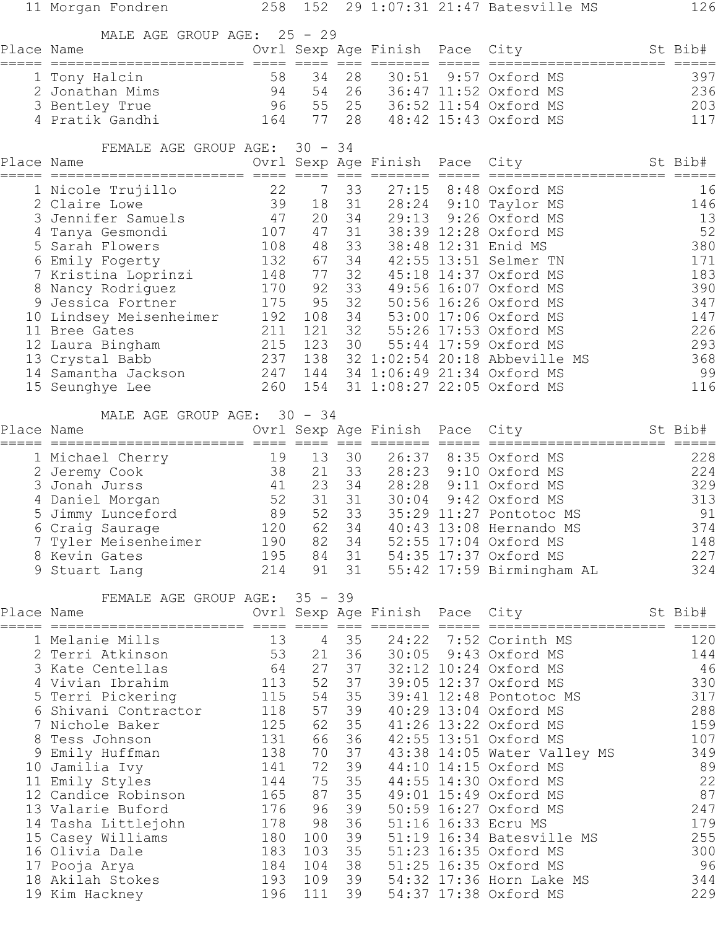|            | 11 Morgan Fondren                        | 258        | 152            |          |                                | 29 1:07:31 21:47 Batesville MS                       | 126        |
|------------|------------------------------------------|------------|----------------|----------|--------------------------------|------------------------------------------------------|------------|
| Place Name | MALE AGE GROUP AGE:                      |            | $25 - 29$      |          |                                | Ovrl Sexp Age Finish Pace City St Bib#               |            |
|            |                                          |            |                |          |                                |                                                      |            |
|            | 1 Tony Halcin                            | 58         | 34             | 28       | 30:51                          | 9:57 Oxford MS                                       | 397        |
|            | 2 Jonathan Mims                          | 94         | 54             | 26       |                                | 36:47 11:52 Oxford MS                                | 236        |
|            | 3 Bentley True                           | 96         | 55             | 25       |                                | 36:52 11:54 Oxford MS                                | 203        |
|            |                                          |            | 77             | 28       |                                | 48:42 15:43 Oxford MS                                | 117        |
| Place Name | FEMALE AGE GROUP AGE:                    |            | $30 - 34$      |          |                                | Ovrl Sexp Age Finish Pace City                       | St Bib#    |
|            |                                          |            |                |          |                                | =====================                                |            |
|            | 1 Nicole Trujillo                        | 22         | 7              | 33       | 27:15                          | 8:48 Oxford MS                                       | 16         |
|            | 2 Claire Lowe                            | 39         | 18             | 31       | 28:24                          | 9:10 Taylor MS                                       | 146        |
|            | 3 Jennifer Samuels                       | 47         | 20             | 34       | 29:13                          | 9:26 Oxford MS                                       | 13         |
|            | 4 Tanya Gesmondi                         | 107        | 47             | 31       |                                | 38:39 12:28 Oxford MS                                | 52         |
|            | 5 Sarah Flowers                          | 108        | 48             | 33       |                                | 38:48 12:31 Enid MS                                  | 380        |
|            | 6 Emily Fogerty                          | 132<br>148 | 67<br>77       | 34<br>32 |                                | 42:55 13:51 Selmer TN<br>45:18 14:37 Oxford MS       | 171<br>183 |
|            | 7 Kristina Loprinzi<br>8 Nancy Rodriguez | 170        | 92             | 33       |                                | 49:56 16:07 Oxford MS                                | 390        |
|            | 9 Jessica Fortner                        | 175        | 95             | 32       |                                | 50:56 16:26 Oxford MS                                | 347        |
|            | 10 Lindsey Meisenheimer                  | 192        | 108            | 34       |                                | 53:00 17:06 Oxford MS                                | 147        |
|            | 11 Bree Gates                            | 211        | 121            | 32       |                                | 55:26 17:53 Oxford MS                                | 226        |
|            | 12 Laura Bingham                         | 215        | 123            | 30       |                                | 55:44 17:59 Oxford MS                                | 293        |
|            | 13 Crystal Babb                          | 237        | 138            |          |                                | 32 1:02:54 20:18 Abbeville MS                        | 368        |
|            | 14 Samantha Jackson                      | 247        | 144            |          |                                | 34 1:06:49 21:34 Oxford MS                           | 99         |
|            | 15 Seunghye Lee                          | 260        | 154            |          |                                | 31 1:08:27 22:05 Oxford MS                           | 116        |
|            | MALE AGE GROUP AGE:                      |            | $30 - 34$      |          |                                |                                                      |            |
| Place Name |                                          |            |                |          | Ovrl Sexp Age Finish Pace City |                                                      | St Bib#    |
|            | 1 Michael Cherry                         | 19         | 13             | 30       | 26:37                          | 8:35 Oxford MS                                       | 228        |
|            | 2 Jeremy Cook                            | 38         | 21             | 33       | 28:23                          | 9:10 Oxford MS                                       | 224        |
|            | 3 Jonah Jurss<br>41                      |            | 23             | 34       | 28:28                          | 9:11 Oxford MS                                       | 329        |
|            | 4 Daniel Morgan                          | 52         | 31             | 31       | 30:04                          | 9:42 Oxford MS                                       | 313        |
|            | 5 Jimmy Lunceford                        | 89         | 52             | 33       |                                | 35:29 11:27 Pontotoc MS                              | 91         |
|            | 6 Craig Saurage                          | 120        | 62             | 34       |                                | 40:43 13:08 Hernando MS                              | 374        |
|            | 7 Tyler Meisenheimer                     | 190        | 82             | 34       |                                | 52:55 17:04 Oxford MS                                | 148        |
|            | 8 Kevin Gates                            | 195        | 84             | 31       |                                | 54:35 17:37 Oxford MS                                | 227        |
|            | 9 Stuart Lang                            | 214        | 91             | 31       |                                | 55:42 17:59 Birmingham AL                            | 324        |
|            | FEMALE AGE GROUP AGE: 35 - 39            |            |                |          |                                |                                                      |            |
| Place Name |                                          |            |                |          | Ovrl Sexp Age Finish Pace City |                                                      | St Bib#    |
|            | 1 Melanie Mills                          | 13         | $\overline{4}$ | 35       |                                | 24:22 7:52 Corinth MS                                | 120        |
|            | 2 Terri Atkinson                         | 53         | 21             | 36       |                                | 30:05 9:43 Oxford MS                                 | 144        |
|            | 3 Kate Centellas                         | 64         | 27             | 37       |                                | 32:12 10:24 Oxford MS                                | 46         |
|            | 4 Vivian Ibrahim                         | 113        | 52             | 37       |                                | 39:05 12:37 Oxford MS                                | 330        |
|            | 5 Terri Pickering                        | 115        | 54             | 35       |                                | 39:41 12:48 Pontotoc MS                              | 317        |
|            | 6 Shivani Contractor                     | 118        | 57             | 39       |                                | 40:29 13:04 Oxford MS                                | 288        |
|            | 7 Nichole Baker                          | 125<br>131 | 62<br>66       | 35<br>36 |                                | 41:26 13:22 Oxford MS                                | 159<br>107 |
|            | 8 Tess Johnson<br>9 Emily Huffman        | 138        | 70             | 37       |                                | 42:55 13:51 Oxford MS<br>43:38 14:05 Water Valley MS | 349        |
|            | 10 Jamilia Ivy                           | 141        | 72             | 39       |                                | 44:10 14:15 Oxford MS                                | 89         |
|            | 11 Emily Styles                          | 144        | 75             | 35       |                                | 44:55 14:30 Oxford MS                                | 22         |
|            | 12 Candice Robinson                      | 165        | 87             | 35       |                                | 49:01 15:49 Oxford MS                                | 87         |
|            | 13 Valarie Buford                        | 176        | 96             | 39       |                                | 50:59 16:27 Oxford MS                                | 247        |
|            | 14 Tasha Littlejohn                      | 178        | 98             | 36       |                                | 51:16 16:33 Ecru MS                                  | 179        |
|            | 15 Casey Williams                        | 180        | 100            | 39       |                                | 51:19 16:34 Batesville MS                            | 255        |
|            | 16 Olivia Dale                           | 183        | 103            | 35       |                                | 51:23 16:35 Oxford MS                                | 300        |
|            | 17 Pooja Arya                            | 184        | 104            | 38       |                                | 51:25 16:35 Oxford MS                                | 96         |
|            | 18 Akilah Stokes                         | 193        | 109            | 39       |                                | 54:32 17:36 Horn Lake MS                             | 344        |
|            | 19 Kim Hackney                           | 196        | 111            | 39       |                                | 54:37 17:38 Oxford MS                                | 229        |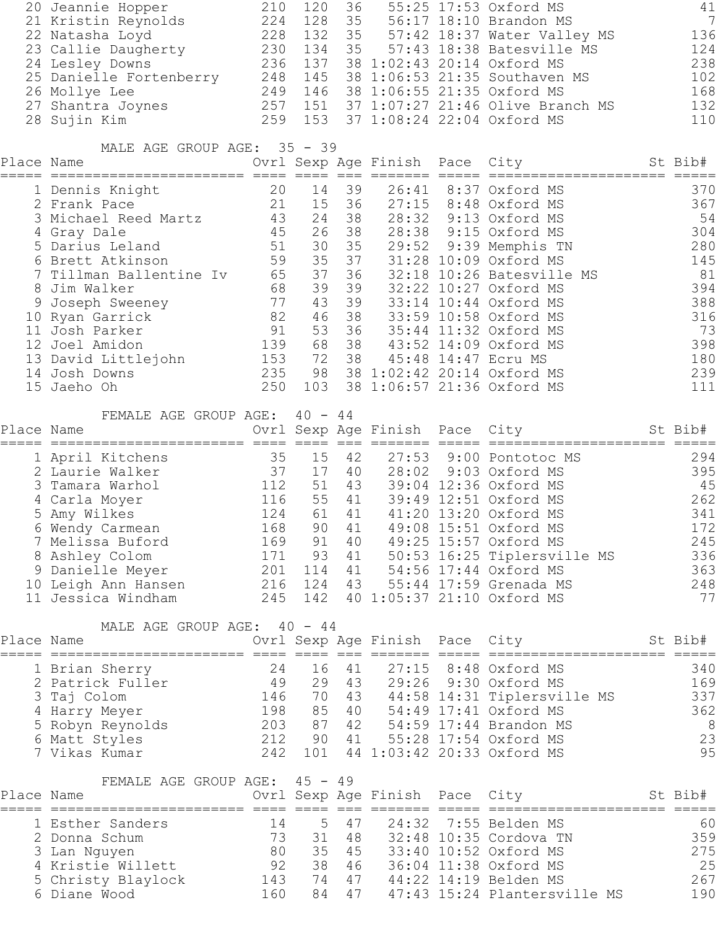|            | 20 Jeannie Hopper                         | 210     | 120       | 36    |                                | 55:25 17:53 Oxford MS                     | 41                     |
|------------|-------------------------------------------|---------|-----------|-------|--------------------------------|-------------------------------------------|------------------------|
|            | 21 Kristin Reynolds                       | 224     | 128       | 35    |                                | 56:17 18:10 Brandon MS                    | $7\phantom{.0}$        |
|            | 22 Natasha Loyd                           |         |           |       |                                | 228 132 35 57:42 18:37 Water Valley MS    | 136                    |
|            | 23 Callie Daugherty                       | 230     | 134       | 35    |                                | 57:43 18:38 Batesville MS                 | 124                    |
|            | 24 Lesley Downs                           | 236     | 137       |       |                                | 38 1:02:43 20:14 Oxford MS                | 238                    |
|            | 25 Danielle Fortenberry                   | 248     |           |       |                                | 145 38 1:06:53 21:35 Southaven MS         | 102                    |
|            | 26 Mollye Lee                             | 249     |           |       |                                | 146 38 1:06:55 21:35 Oxford MS            | 168                    |
|            | 27 Shantra Joynes                         |         | 257 151   |       |                                | 37 1:07:27 21:46 Olive Branch MS          | 132                    |
|            | 28 Sujin Kim                              | 259     | 153       |       |                                | 37 1:08:24 22:04 Oxford MS                | 110                    |
|            | MALE AGE GROUP AGE: 35 - 39               |         |           |       |                                |                                           |                        |
| Place Name |                                           |         |           |       | Ovrl Sexp Age Finish Pace City |                                           | St Bib#<br>===== ===== |
|            | 1 Dennis Knight                           | 20      | 14        | 39    | 26:41                          | 8:37 Oxford MS                            | 370                    |
|            | 2 Frank Pace                              | 21      | 15        | 36    | 27:15                          | 8:48 Oxford MS                            | 367                    |
|            | 3 Michael Reed Martz                      | 43      | 24        | 38    |                                | 28:32 9:13 Oxford MS                      | 54                     |
|            | 4 Gray Dale                               | 45      | 26        | 38    |                                | 28:38 9:15 Oxford MS                      | 304                    |
|            | 5 Darius Leland                           | 51      | 30        | 35    |                                | 29:52 9:39 Memphis TN                     | 280                    |
|            | 6 Brett Atkinson                          | 59      | 35        | 37    |                                | 31:28 10:09 Oxford MS                     | 145                    |
|            | 7 Tillman Ballentine Iv                   | 65      | 37        | 36    |                                | 32:18 10:26 Batesville MS                 | 81                     |
|            | 8 Jim Walker                              | 68      | 39        | 39    |                                | 32:22 10:27 Oxford MS                     | 394                    |
|            | 9 Joseph Sweeney                          | 77      | 43        | 39    |                                | 33:14 10:44 Oxford MS                     | 388                    |
|            | 10 Ryan Garrick                           | 82      | 46        | 38    |                                | 33:59 10:58 Oxford MS                     | 316                    |
|            | 11 Josh Parker                            | 91      | 53        | 36    |                                | 35:44 11:32 Oxford MS                     | 73                     |
|            | 12 Joel Amidon                            | 139     | 68        | 38    |                                | 43:52 14:09 Oxford MS                     | 398                    |
|            | 13 David Littlejohn                       | 153     |           | 72 38 |                                | 45:48 14:47 Ecru MS                       | 180                    |
|            | 14 Josh Downs                             | 235     |           |       |                                | 98 38 1:02:42 20:14 Oxford MS             | 239                    |
|            | 15 Jaeho Oh                               | 250     | 103       |       |                                | 38 1:06:57 21:36 Oxford MS                | $111$                  |
|            | FEMALE AGE GROUP AGE:                     |         | $40 - 44$ |       |                                |                                           |                        |
| Place Name |                                           |         |           |       | Ovrl Sexp Age Finish Pace City |                                           | St Bib#                |
|            |                                           | 35      | 15        | 42    | 27:53                          | 9:00 Pontotoc MS                          | 294                    |
|            | 1 April Kitchens<br>2 Laurie Walker       | 37      | 17        | 40    | 28:02                          | 9:03 Oxford MS                            | 395                    |
|            | 3 Tamara Warhol                           | 112     | 51        | 43    |                                | 39:04 12:36 Oxford MS                     | 45                     |
|            | 4 Carla Moyer                             | 116     | 55        | 41    |                                | 39:49 12:51 Oxford MS                     | 262                    |
|            | 5 Amy Wilkes                              | 124     | 61        | 41    |                                | 41:20 13:20 Oxford MS                     | $341$                  |
|            |                                           | 168     | 90        | 41    |                                | 49:08 15:51 Oxford MS                     | 172                    |
|            | 6 Wendy Carmean<br>7 Melissa Buford       | 169     | 91        | 40    |                                | 49:25 15:57 Oxford MS                     | 245                    |
|            |                                           |         | 171 93    |       |                                | 50:53 16:25 Tiplersville MS               | 336                    |
|            | 8 Ashley Colom                            | 201 114 |           | 41    |                                | 54:56 17:44 Oxford MS                     | 363                    |
|            | 9 Danielle Meyer                          |         |           | 41    |                                | 216 124 43 55:44 17:59 Grenada MS         | 248                    |
|            | 10 Leigh Ann Hansen<br>11 Jessica Windham |         |           |       |                                | 245 142 40 1:05:37 21:10 Oxford MS        | 77                     |
|            |                                           |         |           |       |                                |                                           |                        |
|            | MALE AGE GROUP AGE: 40 - 44               |         |           |       |                                |                                           |                        |
| Place Name |                                           |         |           |       |                                | Ovrl Sexp Age Finish Pace City St Bib#    |                        |
|            | 1 Brian Sherry                            | 24      |           | 16 41 |                                | 27:15 8:48 Oxford MS                      | 340                    |
|            | 2 Patrick Fuller                          | 49      |           | 29 43 |                                | 29:26 9:30 Oxford MS                      | 169                    |
|            | 3 Taj Colom                               | 146     |           |       |                                | 70 43 44:58 14:31 Tiplersville MS         | 337                    |
|            | 4 Harry Meyer                             |         |           |       |                                | 198 85 40 54:49 17:41 Oxford MS           | 362                    |
|            | 5 Robyn Reynolds                          |         |           |       |                                | 203 87 42 54:59 17:44 Brandon MS          | 8                      |
|            | 6 Matt Styles                             |         | 212 90 41 |       |                                | 55:28 17:54 Oxford MS                     | 23                     |
|            | 7 Vikas Kumar                             |         |           |       |                                | 242 101 44 1:03:42 20:33 Oxford MS        | 95                     |
|            |                                           |         |           |       |                                |                                           |                        |
| Place Name | FEMALE AGE GROUP AGE: 45 - 49             |         |           |       |                                | Ovrl Sexp Age Finish Pace City<br>St Bib# |                        |
|            |                                           |         |           |       |                                |                                           |                        |
|            | 1 Esther Sanders                          |         | 5<br>14   | 47    |                                | 24:32 7:55 Belden MS                      | 60                     |
|            | 2 Donna Schum                             | 73      | 31        | 48    |                                | 32:48 10:35 Cordova TN                    | 359                    |
|            | 3 Lan Nguyen                              | 80      | 35        | 45    |                                | 33:40 10:52 Oxford MS                     | 275                    |
|            | 4 Kristie Willett                         | 92      | 38        | 46    |                                | 36:04 11:38 Oxford MS                     | 25                     |
|            | 5 Christy Blaylock 143                    |         | 74        | 47    |                                | 44:22 14:19 Belden MS                     | 267                    |
|            | 6 Diane Wood                              | 160     | 84        | 47    |                                | 47:43 15:24 Plantersville MS              | 190                    |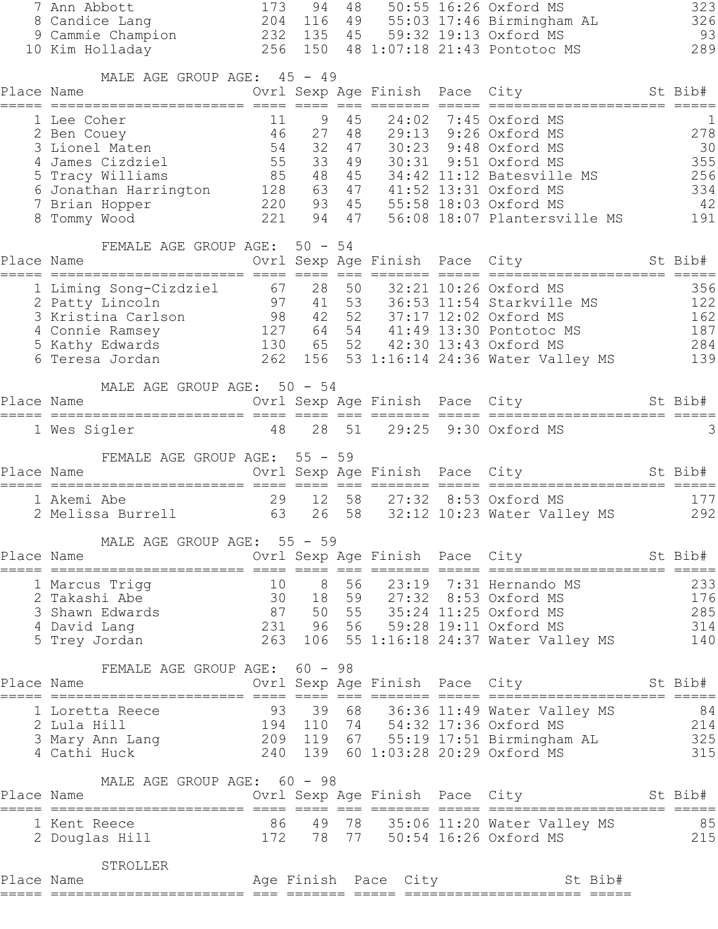| 7 Ann Abbott<br>8 Candice Lang | 173                                                                                                                                                                                                                                                     | 94                     | 48                                                                                                       |                                                                                                                                                                                                                                                                               |                                                                                       |         |                                                                                                                                                                                                                                                                                                                                                                                                                                                                                                                                                                                                                                                                                                                              | 323<br>326                                                                                                                                                                                                                                                                                                                                                                                                                                                                                                                                                                                                                                                                                                                                                                                                |
|--------------------------------|---------------------------------------------------------------------------------------------------------------------------------------------------------------------------------------------------------------------------------------------------------|------------------------|----------------------------------------------------------------------------------------------------------|-------------------------------------------------------------------------------------------------------------------------------------------------------------------------------------------------------------------------------------------------------------------------------|---------------------------------------------------------------------------------------|---------|------------------------------------------------------------------------------------------------------------------------------------------------------------------------------------------------------------------------------------------------------------------------------------------------------------------------------------------------------------------------------------------------------------------------------------------------------------------------------------------------------------------------------------------------------------------------------------------------------------------------------------------------------------------------------------------------------------------------------|-----------------------------------------------------------------------------------------------------------------------------------------------------------------------------------------------------------------------------------------------------------------------------------------------------------------------------------------------------------------------------------------------------------------------------------------------------------------------------------------------------------------------------------------------------------------------------------------------------------------------------------------------------------------------------------------------------------------------------------------------------------------------------------------------------------|
| 10 Kim Holladay                |                                                                                                                                                                                                                                                         |                        |                                                                                                          |                                                                                                                                                                                                                                                                               |                                                                                       |         |                                                                                                                                                                                                                                                                                                                                                                                                                                                                                                                                                                                                                                                                                                                              | 93<br>289                                                                                                                                                                                                                                                                                                                                                                                                                                                                                                                                                                                                                                                                                                                                                                                                 |
| Place Name                     |                                                                                                                                                                                                                                                         |                        |                                                                                                          |                                                                                                                                                                                                                                                                               |                                                                                       |         |                                                                                                                                                                                                                                                                                                                                                                                                                                                                                                                                                                                                                                                                                                                              |                                                                                                                                                                                                                                                                                                                                                                                                                                                                                                                                                                                                                                                                                                                                                                                                           |
| 1 Lee Coher                    |                                                                                                                                                                                                                                                         | $\overline{9}$         | 45                                                                                                       |                                                                                                                                                                                                                                                                               |                                                                                       |         |                                                                                                                                                                                                                                                                                                                                                                                                                                                                                                                                                                                                                                                                                                                              | $\mathbf 1$                                                                                                                                                                                                                                                                                                                                                                                                                                                                                                                                                                                                                                                                                                                                                                                               |
|                                |                                                                                                                                                                                                                                                         |                        |                                                                                                          |                                                                                                                                                                                                                                                                               |                                                                                       |         |                                                                                                                                                                                                                                                                                                                                                                                                                                                                                                                                                                                                                                                                                                                              | 278<br>30                                                                                                                                                                                                                                                                                                                                                                                                                                                                                                                                                                                                                                                                                                                                                                                                 |
|                                |                                                                                                                                                                                                                                                         |                        |                                                                                                          |                                                                                                                                                                                                                                                                               |                                                                                       |         |                                                                                                                                                                                                                                                                                                                                                                                                                                                                                                                                                                                                                                                                                                                              | 355                                                                                                                                                                                                                                                                                                                                                                                                                                                                                                                                                                                                                                                                                                                                                                                                       |
|                                |                                                                                                                                                                                                                                                         |                        |                                                                                                          |                                                                                                                                                                                                                                                                               |                                                                                       |         |                                                                                                                                                                                                                                                                                                                                                                                                                                                                                                                                                                                                                                                                                                                              | 256                                                                                                                                                                                                                                                                                                                                                                                                                                                                                                                                                                                                                                                                                                                                                                                                       |
|                                |                                                                                                                                                                                                                                                         |                        |                                                                                                          |                                                                                                                                                                                                                                                                               |                                                                                       |         |                                                                                                                                                                                                                                                                                                                                                                                                                                                                                                                                                                                                                                                                                                                              | 334                                                                                                                                                                                                                                                                                                                                                                                                                                                                                                                                                                                                                                                                                                                                                                                                       |
| 7 Brian Hopper                 |                                                                                                                                                                                                                                                         |                        |                                                                                                          |                                                                                                                                                                                                                                                                               |                                                                                       |         |                                                                                                                                                                                                                                                                                                                                                                                                                                                                                                                                                                                                                                                                                                                              | 42                                                                                                                                                                                                                                                                                                                                                                                                                                                                                                                                                                                                                                                                                                                                                                                                        |
|                                |                                                                                                                                                                                                                                                         |                        |                                                                                                          |                                                                                                                                                                                                                                                                               |                                                                                       |         |                                                                                                                                                                                                                                                                                                                                                                                                                                                                                                                                                                                                                                                                                                                              | 191                                                                                                                                                                                                                                                                                                                                                                                                                                                                                                                                                                                                                                                                                                                                                                                                       |
| Place Name                     |                                                                                                                                                                                                                                                         |                        |                                                                                                          |                                                                                                                                                                                                                                                                               |                                                                                       |         |                                                                                                                                                                                                                                                                                                                                                                                                                                                                                                                                                                                                                                                                                                                              |                                                                                                                                                                                                                                                                                                                                                                                                                                                                                                                                                                                                                                                                                                                                                                                                           |
| 1 Liming Song-Cizdziel         |                                                                                                                                                                                                                                                         |                        |                                                                                                          |                                                                                                                                                                                                                                                                               |                                                                                       |         |                                                                                                                                                                                                                                                                                                                                                                                                                                                                                                                                                                                                                                                                                                                              | 356                                                                                                                                                                                                                                                                                                                                                                                                                                                                                                                                                                                                                                                                                                                                                                                                       |
|                                |                                                                                                                                                                                                                                                         |                        |                                                                                                          |                                                                                                                                                                                                                                                                               |                                                                                       |         |                                                                                                                                                                                                                                                                                                                                                                                                                                                                                                                                                                                                                                                                                                                              | 122                                                                                                                                                                                                                                                                                                                                                                                                                                                                                                                                                                                                                                                                                                                                                                                                       |
|                                |                                                                                                                                                                                                                                                         |                        |                                                                                                          |                                                                                                                                                                                                                                                                               |                                                                                       |         |                                                                                                                                                                                                                                                                                                                                                                                                                                                                                                                                                                                                                                                                                                                              | 162                                                                                                                                                                                                                                                                                                                                                                                                                                                                                                                                                                                                                                                                                                                                                                                                       |
|                                |                                                                                                                                                                                                                                                         |                        |                                                                                                          |                                                                                                                                                                                                                                                                               |                                                                                       |         |                                                                                                                                                                                                                                                                                                                                                                                                                                                                                                                                                                                                                                                                                                                              | 187<br>284                                                                                                                                                                                                                                                                                                                                                                                                                                                                                                                                                                                                                                                                                                                                                                                                |
|                                |                                                                                                                                                                                                                                                         |                        |                                                                                                          |                                                                                                                                                                                                                                                                               |                                                                                       |         |                                                                                                                                                                                                                                                                                                                                                                                                                                                                                                                                                                                                                                                                                                                              | 139                                                                                                                                                                                                                                                                                                                                                                                                                                                                                                                                                                                                                                                                                                                                                                                                       |
|                                |                                                                                                                                                                                                                                                         |                        |                                                                                                          |                                                                                                                                                                                                                                                                               |                                                                                       |         |                                                                                                                                                                                                                                                                                                                                                                                                                                                                                                                                                                                                                                                                                                                              |                                                                                                                                                                                                                                                                                                                                                                                                                                                                                                                                                                                                                                                                                                                                                                                                           |
| Place Name                     |                                                                                                                                                                                                                                                         |                        |                                                                                                          |                                                                                                                                                                                                                                                                               |                                                                                       |         |                                                                                                                                                                                                                                                                                                                                                                                                                                                                                                                                                                                                                                                                                                                              |                                                                                                                                                                                                                                                                                                                                                                                                                                                                                                                                                                                                                                                                                                                                                                                                           |
|                                |                                                                                                                                                                                                                                                         |                        |                                                                                                          |                                                                                                                                                                                                                                                                               |                                                                                       |         |                                                                                                                                                                                                                                                                                                                                                                                                                                                                                                                                                                                                                                                                                                                              | 3                                                                                                                                                                                                                                                                                                                                                                                                                                                                                                                                                                                                                                                                                                                                                                                                         |
|                                |                                                                                                                                                                                                                                                         |                        |                                                                                                          |                                                                                                                                                                                                                                                                               |                                                                                       |         |                                                                                                                                                                                                                                                                                                                                                                                                                                                                                                                                                                                                                                                                                                                              |                                                                                                                                                                                                                                                                                                                                                                                                                                                                                                                                                                                                                                                                                                                                                                                                           |
|                                |                                                                                                                                                                                                                                                         |                        |                                                                                                          |                                                                                                                                                                                                                                                                               |                                                                                       |         |                                                                                                                                                                                                                                                                                                                                                                                                                                                                                                                                                                                                                                                                                                                              | St Bib#                                                                                                                                                                                                                                                                                                                                                                                                                                                                                                                                                                                                                                                                                                                                                                                                   |
|                                |                                                                                                                                                                                                                                                         |                        |                                                                                                          |                                                                                                                                                                                                                                                                               |                                                                                       |         |                                                                                                                                                                                                                                                                                                                                                                                                                                                                                                                                                                                                                                                                                                                              |                                                                                                                                                                                                                                                                                                                                                                                                                                                                                                                                                                                                                                                                                                                                                                                                           |
|                                |                                                                                                                                                                                                                                                         |                        |                                                                                                          |                                                                                                                                                                                                                                                                               |                                                                                       |         |                                                                                                                                                                                                                                                                                                                                                                                                                                                                                                                                                                                                                                                                                                                              | 177<br>292                                                                                                                                                                                                                                                                                                                                                                                                                                                                                                                                                                                                                                                                                                                                                                                                |
|                                |                                                                                                                                                                                                                                                         |                        |                                                                                                          |                                                                                                                                                                                                                                                                               |                                                                                       |         |                                                                                                                                                                                                                                                                                                                                                                                                                                                                                                                                                                                                                                                                                                                              |                                                                                                                                                                                                                                                                                                                                                                                                                                                                                                                                                                                                                                                                                                                                                                                                           |
| Place Name                     |                                                                                                                                                                                                                                                         |                        |                                                                                                          |                                                                                                                                                                                                                                                                               |                                                                                       |         |                                                                                                                                                                                                                                                                                                                                                                                                                                                                                                                                                                                                                                                                                                                              |                                                                                                                                                                                                                                                                                                                                                                                                                                                                                                                                                                                                                                                                                                                                                                                                           |
|                                |                                                                                                                                                                                                                                                         |                        |                                                                                                          |                                                                                                                                                                                                                                                                               |                                                                                       |         |                                                                                                                                                                                                                                                                                                                                                                                                                                                                                                                                                                                                                                                                                                                              |                                                                                                                                                                                                                                                                                                                                                                                                                                                                                                                                                                                                                                                                                                                                                                                                           |
|                                |                                                                                                                                                                                                                                                         |                        |                                                                                                          |                                                                                                                                                                                                                                                                               |                                                                                       |         |                                                                                                                                                                                                                                                                                                                                                                                                                                                                                                                                                                                                                                                                                                                              |                                                                                                                                                                                                                                                                                                                                                                                                                                                                                                                                                                                                                                                                                                                                                                                                           |
|                                |                                                                                                                                                                                                                                                         |                        |                                                                                                          |                                                                                                                                                                                                                                                                               |                                                                                       |         |                                                                                                                                                                                                                                                                                                                                                                                                                                                                                                                                                                                                                                                                                                                              |                                                                                                                                                                                                                                                                                                                                                                                                                                                                                                                                                                                                                                                                                                                                                                                                           |
|                                |                                                                                                                                                                                                                                                         |                        |                                                                                                          |                                                                                                                                                                                                                                                                               |                                                                                       |         |                                                                                                                                                                                                                                                                                                                                                                                                                                                                                                                                                                                                                                                                                                                              |                                                                                                                                                                                                                                                                                                                                                                                                                                                                                                                                                                                                                                                                                                                                                                                                           |
|                                |                                                                                                                                                                                                                                                         |                        |                                                                                                          |                                                                                                                                                                                                                                                                               |                                                                                       |         |                                                                                                                                                                                                                                                                                                                                                                                                                                                                                                                                                                                                                                                                                                                              |                                                                                                                                                                                                                                                                                                                                                                                                                                                                                                                                                                                                                                                                                                                                                                                                           |
|                                |                                                                                                                                                                                                                                                         |                        |                                                                                                          |                                                                                                                                                                                                                                                                               |                                                                                       |         |                                                                                                                                                                                                                                                                                                                                                                                                                                                                                                                                                                                                                                                                                                                              |                                                                                                                                                                                                                                                                                                                                                                                                                                                                                                                                                                                                                                                                                                                                                                                                           |
|                                |                                                                                                                                                                                                                                                         |                        |                                                                                                          |                                                                                                                                                                                                                                                                               |                                                                                       |         |                                                                                                                                                                                                                                                                                                                                                                                                                                                                                                                                                                                                                                                                                                                              |                                                                                                                                                                                                                                                                                                                                                                                                                                                                                                                                                                                                                                                                                                                                                                                                           |
|                                |                                                                                                                                                                                                                                                         |                        |                                                                                                          |                                                                                                                                                                                                                                                                               |                                                                                       |         |                                                                                                                                                                                                                                                                                                                                                                                                                                                                                                                                                                                                                                                                                                                              |                                                                                                                                                                                                                                                                                                                                                                                                                                                                                                                                                                                                                                                                                                                                                                                                           |
|                                |                                                                                                                                                                                                                                                         |                        |                                                                                                          |                                                                                                                                                                                                                                                                               |                                                                                       |         |                                                                                                                                                                                                                                                                                                                                                                                                                                                                                                                                                                                                                                                                                                                              |                                                                                                                                                                                                                                                                                                                                                                                                                                                                                                                                                                                                                                                                                                                                                                                                           |
|                                |                                                                                                                                                                                                                                                         |                        |                                                                                                          |                                                                                                                                                                                                                                                                               |                                                                                       |         |                                                                                                                                                                                                                                                                                                                                                                                                                                                                                                                                                                                                                                                                                                                              |                                                                                                                                                                                                                                                                                                                                                                                                                                                                                                                                                                                                                                                                                                                                                                                                           |
|                                |                                                                                                                                                                                                                                                         |                        |                                                                                                          |                                                                                                                                                                                                                                                                               |                                                                                       |         |                                                                                                                                                                                                                                                                                                                                                                                                                                                                                                                                                                                                                                                                                                                              |                                                                                                                                                                                                                                                                                                                                                                                                                                                                                                                                                                                                                                                                                                                                                                                                           |
|                                |                                                                                                                                                                                                                                                         |                        |                                                                                                          |                                                                                                                                                                                                                                                                               |                                                                                       |         |                                                                                                                                                                                                                                                                                                                                                                                                                                                                                                                                                                                                                                                                                                                              |                                                                                                                                                                                                                                                                                                                                                                                                                                                                                                                                                                                                                                                                                                                                                                                                           |
|                                |                                                                                                                                                                                                                                                         |                        |                                                                                                          |                                                                                                                                                                                                                                                                               |                                                                                       |         |                                                                                                                                                                                                                                                                                                                                                                                                                                                                                                                                                                                                                                                                                                                              |                                                                                                                                                                                                                                                                                                                                                                                                                                                                                                                                                                                                                                                                                                                                                                                                           |
|                                |                                                                                                                                                                                                                                                         |                        |                                                                                                          |                                                                                                                                                                                                                                                                               |                                                                                       |         |                                                                                                                                                                                                                                                                                                                                                                                                                                                                                                                                                                                                                                                                                                                              |                                                                                                                                                                                                                                                                                                                                                                                                                                                                                                                                                                                                                                                                                                                                                                                                           |
| STROLLER                       |                                                                                                                                                                                                                                                         |                        |                                                                                                          |                                                                                                                                                                                                                                                                               |                                                                                       |         |                                                                                                                                                                                                                                                                                                                                                                                                                                                                                                                                                                                                                                                                                                                              |                                                                                                                                                                                                                                                                                                                                                                                                                                                                                                                                                                                                                                                                                                                                                                                                           |
| Place Name                     |                                                                                                                                                                                                                                                         |                        |                                                                                                          |                                                                                                                                                                                                                                                                               |                                                                                       | St Bib# |                                                                                                                                                                                                                                                                                                                                                                                                                                                                                                                                                                                                                                                                                                                              |                                                                                                                                                                                                                                                                                                                                                                                                                                                                                                                                                                                                                                                                                                                                                                                                           |
|                                | 9 Cammie Champion<br>2 Ben Couey<br>3 Lionel Maten<br>4 James Cizdziel<br>5 Tracy Williams<br>8 Tommy Wood<br>2 Patty Lincoln<br>3 Kristina Carlson<br>Sommue Ramsey<br>5 Kathy Edwards<br>6 Teresa Jorder<br>1 Wes Sigler<br>Place Name<br>1 Akemi Abe | 46<br>48<br>Place Name | 11<br>54<br>55<br>85<br>6 Jonathan Harrington 128<br>221<br>67<br>97<br>98<br>29<br>2 Melissa Burrell 63 | 204 116<br>MALE AGE GROUP AGE: 45 - 49<br>27 48<br>32<br>47<br>FEMALE AGE GROUP AGE: 50 - 54<br>28<br>41<br>42<br>MALE AGE GROUP AGE: 50 - 54<br>FEMALE AGE GROUP AGE: 55 - 59<br>MALE AGE GROUP AGE: 55 - 59<br>FEMALE AGE GROUP AGE: 60 - 98<br>MALE AGE GROUP AGE: 60 - 98 | 49<br>232 135 45<br>33 49<br>48 45<br>63 47<br>94 47<br>52<br>28 51<br>12 58<br>26 58 |         | 50:55 16:26 Oxford MS<br>55:03 17:46 Birmingham AL<br>59:32 19:13 Oxford MS<br>256 150 48 1:07:18 21:43 Pontotoc MS<br>Ovrl Sexp Age Finish Pace City<br>24:02 7:45 Oxford MS<br>29:13 9:26 Oxford MS<br>30:23 9:48 Oxford MS<br>30:31 9:51 Oxford MS<br>34:42 11:12 Batesville MS<br>41:52 13:31 Oxford MS<br>220 93 45 55:58 18:03 Oxford MS<br>Ovrl Sexp Age Finish Pace City<br>50 32:21 10:26 Oxford MS<br>53 36:53 11:54 Starkville MS<br>37:17 12:02 Oxford MS<br>127 64 54 41:49 13:30 Pontotoc MS<br>130 65 52 42:30 13:43 Oxford MS<br>130 65 52 42:30 13:43 Oxford MS<br>Ovrl Sexp Age Finish Pace City<br>29:25 9:30 Oxford MS<br>Ovrl Sexp Age Finish Pace City<br>27:32 8:53 Oxford MS<br>Age Finish Pace City | St Bib#<br>56:08 18:07 Plantersville MS<br>St Bib#<br>262 156 53 1:16:14 24:36 Water Valley MS<br>St Bib#<br>32:12 10:23 Water Valley MS<br>Ovrl Sexp Age Finish Pace City St Bib#<br>1 Marcus Trigg 10 8 56 23:19 7:31 Hernando MS 233<br>2 Takashi Abe 30 18 59 27:32 8:53 Oxford MS 176<br>3 Shawn Edwards 87 50 55 35:24 11:25 Oxford MS 285<br>4 David Lang 231 96 56 59:28 19:11 Oxford MS 314<br>5 Trey Jordan 263 10<br>Place Name                                 Ovrl Sexp Age Finish Pace City           St Bib#  <br>1 Loretta Reece 33 39 68 36:36 11:49 Water Valley MS 84<br>2 Lula Hill 194 110 74 54:32 17:36 Oxford MS 214<br>3 Mary Ann Lang 209 119 67 55:19 17:51 Birmingham AL 325<br>4 Cathi Huck 240 139 60 1:03:28 20:29 Oxford MS 315<br>Ovrl Sexp Age Finish Pace City St Bib# |

===== ======================= === ======= ===== ===================== =====